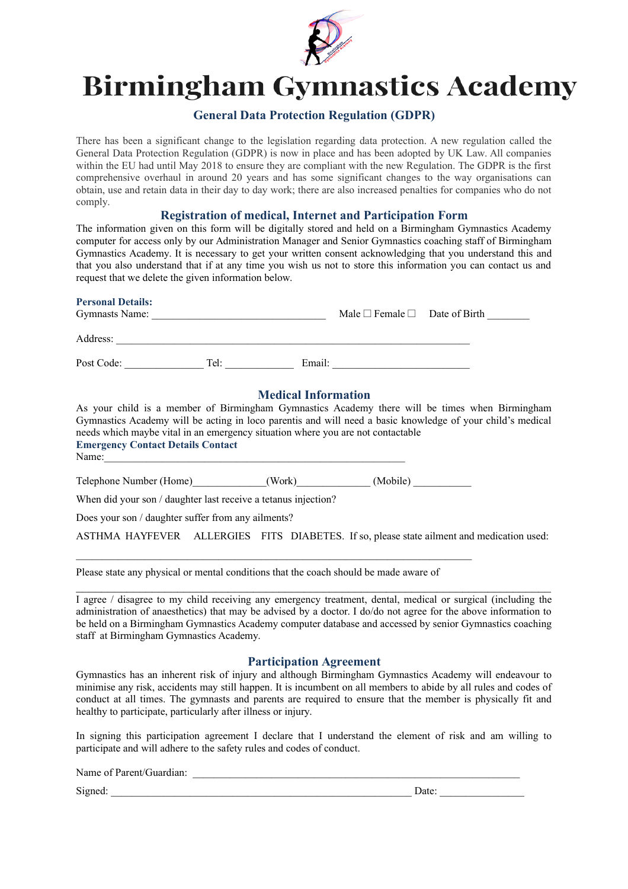

# **Birmingham Gymnastics Academy**

# **General Data Protection Regulation (GDPR)**

There has been a significant change to the legislation regarding data protection. A new regulation called the General Data Protection Regulation (GDPR) is now in place and has been adopted by UK Law. All companies within the EU had until May 2018 to ensure they are compliant with the new Regulation. The GDPR is the first comprehensive overhaul in around 20 years and has some significant changes to the way organisations can obtain, use and retain data in their day to day work; there are also increased penalties for companies who do not comply.

## **Registration of medical, Internet and Participation Form**

The information given on this form will be digitally stored and held on a Birmingham Gymnastics Academy computer for access only by our Administration Manager and Senior Gymnastics coaching staff of Birmingham Gymnastics Academy. It is necessary to get your written consent acknowledging that you understand this and that you also understand that if at any time you wish us not to store this information you can contact us and request that we delete the given information below.

| Personal Details:<br>Gymnasts Name: |      | Male $\Box$ Female $\Box$ Date of Birth |  |
|-------------------------------------|------|-----------------------------------------|--|
| Address:                            |      |                                         |  |
| Post Code:                          | Tel: | Email:                                  |  |

## **Medical Information**

As your child is a member of Birmingham Gymnastics Academy there will be times when Birmingham Gymnastics Academy will be acting in loco parentis and will need a basic knowledge of your child's medical needs which maybe vital in an emergency situation where you are not contactable **Emergency Contact Details Contact**

Name:

**Personal Details:** 

Telephone Number (Home)  $(Work)$  (Mobile)

When did your son / daughter last receive a tetanus injection?

Does your son / daughter suffer from any ailments?

ASTHMA HAYFEVER ALLERGIES FITS DIABETES. If so, please state ailment and medication used:

Please state any physical or mental conditions that the coach should be made aware of

I agree / disagree to my child receiving any emergency treatment, dental, medical or surgical (including the administration of anaesthetics) that may be advised by a doctor. I do/do not agree for the above information to be held on a Birmingham Gymnastics Academy computer database and accessed by senior Gymnastics coaching staff at Birmingham Gymnastics Academy.

 $\mathcal{L}_\mathcal{L} = \mathcal{L}_\mathcal{L} = \mathcal{L}_\mathcal{L} = \mathcal{L}_\mathcal{L} = \mathcal{L}_\mathcal{L} = \mathcal{L}_\mathcal{L} = \mathcal{L}_\mathcal{L} = \mathcal{L}_\mathcal{L} = \mathcal{L}_\mathcal{L} = \mathcal{L}_\mathcal{L} = \mathcal{L}_\mathcal{L} = \mathcal{L}_\mathcal{L} = \mathcal{L}_\mathcal{L} = \mathcal{L}_\mathcal{L} = \mathcal{L}_\mathcal{L} = \mathcal{L}_\mathcal{L} = \mathcal{L}_\mathcal{L}$ 

### **Participation Agreement**

Gymnastics has an inherent risk of injury and although Birmingham Gymnastics Academy will endeavour to minimise any risk, accidents may still happen. It is incumbent on all members to abide by all rules and codes of conduct at all times. The gymnasts and parents are required to ensure that the member is physically fit and healthy to participate, particularly after illness or injury.

In signing this participation agreement I declare that I understand the element of risk and am willing to participate and will adhere to the safety rules and codes of conduct.

Name of Parent/Guardian:

Signed: \_\_\_\_\_\_\_\_\_\_\_\_\_\_\_\_\_\_\_\_\_\_\_\_\_\_\_\_\_\_\_\_\_\_\_\_\_\_\_\_\_\_\_\_\_\_\_\_\_\_\_\_\_\_\_\_\_ Date: \_\_\_\_\_\_\_\_\_\_\_\_\_\_\_\_